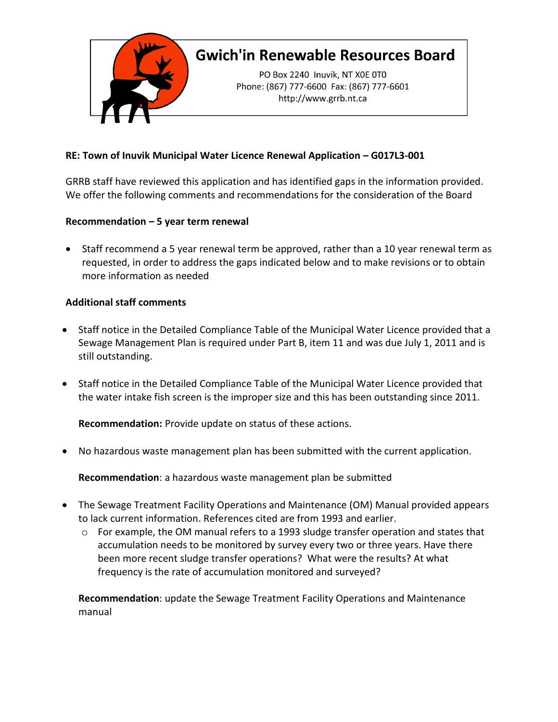

## **Gwich'in Renewable Resources Board**

PO Box 2240 Inuvik, NT X0E 0T0 Phone: (867) 777-6600 Fax: (867) 777-6601 http://www.grrb.nt.ca

## **RE: Town of Inuvik Municipal Water Licence Renewal Application – G017L3-001**

GRRB staff have reviewed this application and has identified gaps in the information provided. We offer the following comments and recommendations for the consideration of the Board

## **Recommendation – 5 year term renewal**

• Staff recommend a 5 year renewal term be approved, rather than a 10 year renewal term as requested, in order to address the gaps indicated below and to make revisions or to obtain more information as needed

## **Additional staff comments**

- Staff notice in the Detailed Compliance Table of the Municipal Water Licence provided that a Sewage Management Plan is required under Part B, item 11 and was due July 1, 2011 and is still outstanding.
- Staff notice in the Detailed Compliance Table of the Municipal Water Licence provided that the water intake fish screen is the improper size and this has been outstanding since 2011.

**Recommendation:** Provide update on status of these actions.

• No hazardous waste management plan has been submitted with the current application.

**Recommendation**: a hazardous waste management plan be submitted

- The Sewage Treatment Facility Operations and Maintenance (OM) Manual provided appears to lack current information. References cited are from 1993 and earlier.
	- $\circ$  For example, the OM manual refers to a 1993 sludge transfer operation and states that accumulation needs to be monitored by survey every two or three years. Have there been more recent sludge transfer operations? What were the results? At what frequency is the rate of accumulation monitored and surveyed?

**Recommendation**: update the Sewage Treatment Facility Operations and Maintenance manual